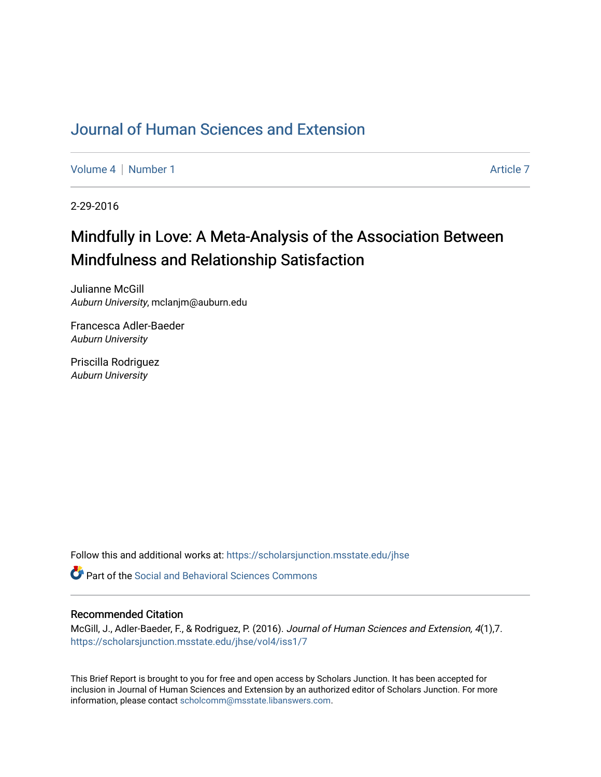## [Journal of Human Sciences and Extension](https://scholarsjunction.msstate.edu/jhse)

[Volume 4](https://scholarsjunction.msstate.edu/jhse/vol4) | [Number 1](https://scholarsjunction.msstate.edu/jhse/vol4/iss1) Article 7

2-29-2016

# Mindfully in Love: A Meta-Analysis of the Association Between Mindfulness and Relationship Satisfaction

Julianne McGill Auburn University, mclanjm@auburn.edu

Francesca Adler-Baeder Auburn University

Priscilla Rodriguez Auburn University

Follow this and additional works at: [https://scholarsjunction.msstate.edu/jhse](https://scholarsjunction.msstate.edu/jhse?utm_source=scholarsjunction.msstate.edu%2Fjhse%2Fvol4%2Fiss1%2F7&utm_medium=PDF&utm_campaign=PDFCoverPages)

Part of the [Social and Behavioral Sciences Commons](http://network.bepress.com/hgg/discipline/316?utm_source=scholarsjunction.msstate.edu%2Fjhse%2Fvol4%2Fiss1%2F7&utm_medium=PDF&utm_campaign=PDFCoverPages) 

#### Recommended Citation

McGill, J., Adler-Baeder, F., & Rodriguez, P. (2016). Journal of Human Sciences and Extension, 4(1),7. [https://scholarsjunction.msstate.edu/jhse/vol4/iss1/7](https://scholarsjunction.msstate.edu/jhse/vol4/iss1/7?utm_source=scholarsjunction.msstate.edu%2Fjhse%2Fvol4%2Fiss1%2F7&utm_medium=PDF&utm_campaign=PDFCoverPages)

This Brief Report is brought to you for free and open access by Scholars Junction. It has been accepted for inclusion in Journal of Human Sciences and Extension by an authorized editor of Scholars Junction. For more information, please contact [scholcomm@msstate.libanswers.com](mailto:scholcomm@msstate.libanswers.com).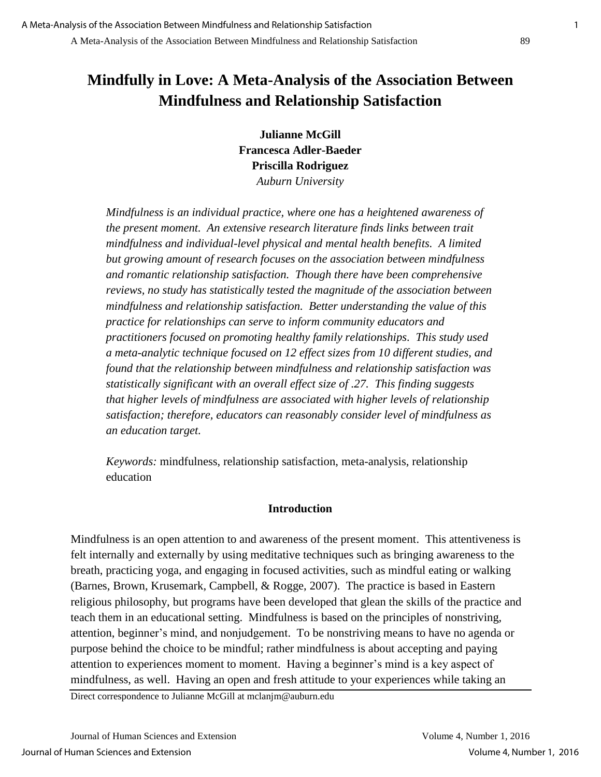## **Mindfully in Love: A Meta-Analysis of the Association Between Mindfulness and Relationship Satisfaction**

**Julianne McGill Francesca Adler-Baeder Priscilla Rodriguez**  *Auburn University* 

*Mindfulness is an individual practice, where one has a heightened awareness of the present moment. An extensive research literature finds links between trait mindfulness and individual-level physical and mental health benefits. A limited but growing amount of research focuses on the association between mindfulness and romantic relationship satisfaction. Though there have been comprehensive reviews, no study has statistically tested the magnitude of the association between mindfulness and relationship satisfaction. Better understanding the value of this practice for relationships can serve to inform community educators and practitioners focused on promoting healthy family relationships. This study used a meta-analytic technique focused on 12 effect sizes from 10 different studies, and found that the relationship between mindfulness and relationship satisfaction was statistically significant with an overall effect size of .27. This finding suggests that higher levels of mindfulness are associated with higher levels of relationship satisfaction; therefore, educators can reasonably consider level of mindfulness as an education target.* 

*Keywords:* mindfulness, relationship satisfaction, meta-analysis, relationship education

## **Introduction**

Mindfulness is an open attention to and awareness of the present moment. This attentiveness is felt internally and externally by using meditative techniques such as bringing awareness to the breath, practicing yoga, and engaging in focused activities, such as mindful eating or walking (Barnes, Brown, Krusemark, Campbell, & Rogge, 2007). The practice is based in Eastern religious philosophy, but programs have been developed that glean the skills of the practice and teach them in an educational setting. Mindfulness is based on the principles of nonstriving, attention, beginner's mind, and nonjudgement. To be nonstriving means to have no agenda or purpose behind the choice to be mindful; rather mindfulness is about accepting and paying attention to experiences moment to moment. Having a beginner's mind is a key aspect of mindfulness, as well. Having an open and fresh attitude to your experiences while taking an

Direct correspondence to Julianne McGill at mclanjm@auburn.edu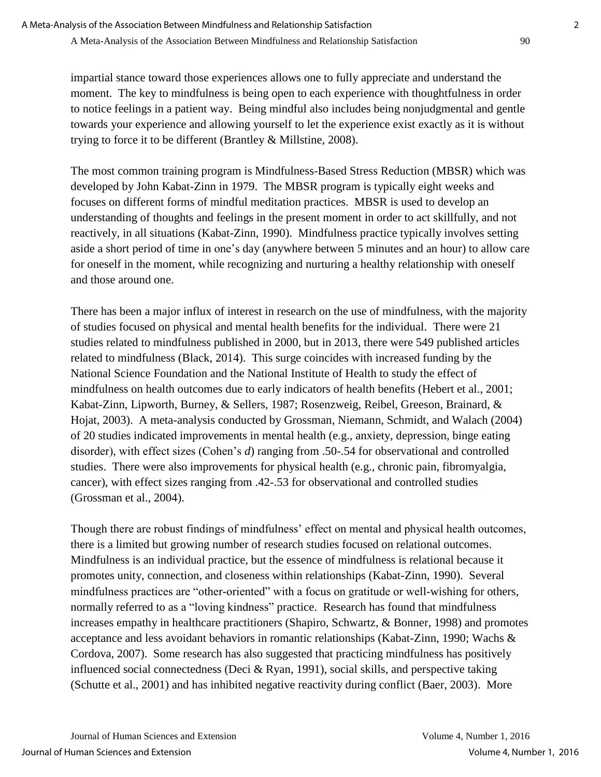impartial stance toward those experiences allows one to fully appreciate and understand the moment. The key to mindfulness is being open to each experience with thoughtfulness in order to notice feelings in a patient way. Being mindful also includes being nonjudgmental and gentle towards your experience and allowing yourself to let the experience exist exactly as it is without trying to force it to be different (Brantley & Millstine, 2008).

The most common training program is Mindfulness-Based Stress Reduction (MBSR) which was developed by John Kabat-Zinn in 1979. The MBSR program is typically eight weeks and focuses on different forms of mindful meditation practices. MBSR is used to develop an understanding of thoughts and feelings in the present moment in order to act skillfully, and not reactively, in all situations (Kabat-Zinn, 1990). Mindfulness practice typically involves setting aside a short period of time in one's day (anywhere between 5 minutes and an hour) to allow care for oneself in the moment, while recognizing and nurturing a healthy relationship with oneself and those around one.

There has been a major influx of interest in research on the use of mindfulness, with the majority of studies focused on physical and mental health benefits for the individual. There were 21 studies related to mindfulness published in 2000, but in 2013, there were 549 published articles related to mindfulness (Black, 2014). This surge coincides with increased funding by the National Science Foundation and the National Institute of Health to study the effect of mindfulness on health outcomes due to early indicators of health benefits (Hebert et al., 2001; Kabat-Zinn, Lipworth, Burney, & Sellers, 1987; Rosenzweig, Reibel, Greeson, Brainard, & Hojat, 2003). A meta-analysis conducted by Grossman, Niemann, Schmidt, and Walach (2004) of 20 studies indicated improvements in mental health (e.g., anxiety, depression, binge eating disorder), with effect sizes (Cohen's *d*) ranging from .50-.54 for observational and controlled studies. There were also improvements for physical health (e.g., chronic pain, fibromyalgia, cancer), with effect sizes ranging from .42-.53 for observational and controlled studies (Grossman et al., 2004).

Though there are robust findings of mindfulness' effect on mental and physical health outcomes, there is a limited but growing number of research studies focused on relational outcomes. Mindfulness is an individual practice, but the essence of mindfulness is relational because it promotes unity, connection, and closeness within relationships (Kabat-Zinn, 1990). Several mindfulness practices are "other-oriented" with a focus on gratitude or well-wishing for others, normally referred to as a "loving kindness" practice. Research has found that mindfulness increases empathy in healthcare practitioners (Shapiro, Schwartz, & Bonner, 1998) and promotes acceptance and less avoidant behaviors in romantic relationships (Kabat-Zinn, 1990; Wachs & Cordova, 2007). Some research has also suggested that practicing mindfulness has positively influenced social connectedness (Deci & Ryan, 1991), social skills, and perspective taking (Schutte et al., 2001) and has inhibited negative reactivity during conflict (Baer, 2003). More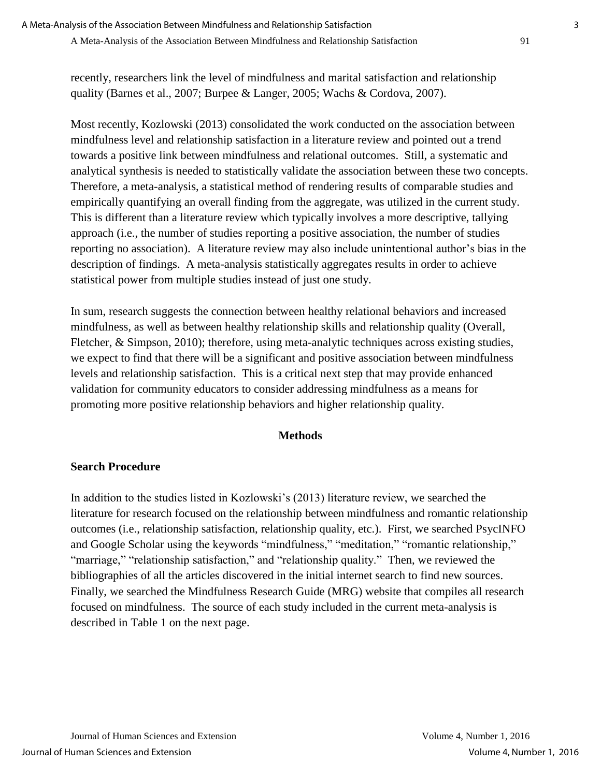recently, researchers link the level of mindfulness and marital satisfaction and relationship quality (Barnes et al., 2007; Burpee & Langer, 2005; Wachs & Cordova, 2007).

Most recently, Kozlowski (2013) consolidated the work conducted on the association between mindfulness level and relationship satisfaction in a literature review and pointed out a trend towards a positive link between mindfulness and relational outcomes. Still, a systematic and analytical synthesis is needed to statistically validate the association between these two concepts. Therefore, a meta-analysis, a statistical method of rendering results of comparable studies and empirically quantifying an overall finding from the aggregate, was utilized in the current study. This is different than a literature review which typically involves a more descriptive, tallying approach (i.e., the number of studies reporting a positive association, the number of studies reporting no association). A literature review may also include unintentional author's bias in the description of findings. A meta-analysis statistically aggregates results in order to achieve statistical power from multiple studies instead of just one study.

In sum, research suggests the connection between healthy relational behaviors and increased mindfulness, as well as between healthy relationship skills and relationship quality (Overall, Fletcher, & Simpson, 2010); therefore, using meta-analytic techniques across existing studies, we expect to find that there will be a significant and positive association between mindfulness levels and relationship satisfaction. This is a critical next step that may provide enhanced validation for community educators to consider addressing mindfulness as a means for promoting more positive relationship behaviors and higher relationship quality.

#### **Methods**

#### **Search Procedure**

In addition to the studies listed in Kozlowski's (2013) literature review, we searched the literature for research focused on the relationship between mindfulness and romantic relationship outcomes (i.e., relationship satisfaction, relationship quality, etc.). First, we searched PsycINFO and Google Scholar using the keywords "mindfulness," "meditation," "romantic relationship," "marriage," "relationship satisfaction," and "relationship quality." Then, we reviewed the bibliographies of all the articles discovered in the initial internet search to find new sources. Finally, we searched the Mindfulness Research Guide (MRG) website that compiles all research focused on mindfulness. The source of each study included in the current meta-analysis is described in Table 1 on the next page.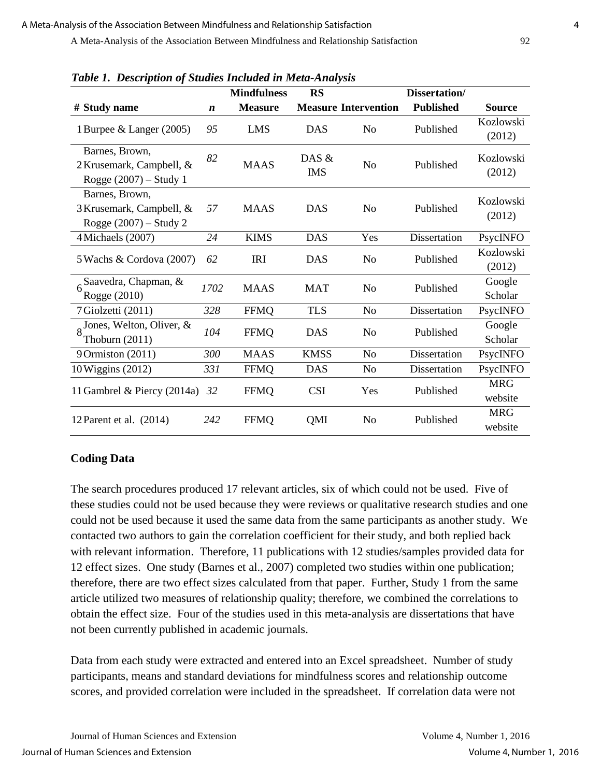| гаон 1. Description ор энцикэ тистики тист типирэв                         |                  | <b>Mindfulness</b> | <b>RS</b>           |                             | Dissertation/    |                       |
|----------------------------------------------------------------------------|------------------|--------------------|---------------------|-----------------------------|------------------|-----------------------|
| # Study name                                                               | $\boldsymbol{n}$ | <b>Measure</b>     |                     | <b>Measure Intervention</b> | <b>Published</b> | <b>Source</b>         |
| 1 Burpee & Langer (2005)                                                   | 95               | <b>LMS</b>         | <b>DAS</b>          | N <sub>0</sub>              | Published        | Kozlowski<br>(2012)   |
| Barnes, Brown,<br>2 Krusemark, Campbell, &<br>Rogge $(2007)$ – Study 1     | 82               | <b>MAAS</b>        | DAS &<br><b>IMS</b> | N <sub>o</sub>              | Published        | Kozlowski<br>(2012)   |
| Barnes, Brown,<br>3 Krusemark, Campbell, &<br>Rogge $(2007)$ – Study 2     | 57               | <b>MAAS</b>        | <b>DAS</b>          | N <sub>o</sub>              | Published        | Kozlowski<br>(2012)   |
| 4 Michaels (2007)                                                          | 24               | <b>KIMS</b>        | <b>DAS</b>          | Yes                         | Dissertation     | PsycINFO              |
| 5 Wachs & Cordova (2007)                                                   | 62               | <b>IRI</b>         | <b>DAS</b>          | N <sub>0</sub>              | Published        | Kozlowski<br>(2012)   |
| Saavedra, Chapman, &<br>Rogge (2010)                                       | 1702             | <b>MAAS</b>        | <b>MAT</b>          | N <sub>o</sub>              | Published        | Google<br>Scholar     |
| 7 Giolzetti (2011)                                                         | 328              | <b>FFMQ</b>        | <b>TLS</b>          | N <sub>o</sub>              | Dissertation     | PsycINFO              |
| $_{\mathbf{Q}}$ Jones, Welton, Oliver, $\overline{\&}$<br>Thoburn $(2011)$ | 104              | <b>FFMQ</b>        | <b>DAS</b>          | N <sub>o</sub>              | Published        | Google<br>Scholar     |
| 9 Ormiston (2011)                                                          | 300              | <b>MAAS</b>        | <b>KMSS</b>         | <b>No</b>                   | Dissertation     | PsycINFO              |
| 10 Wiggins (2012)                                                          | 331              | <b>FFMQ</b>        | <b>DAS</b>          | No                          | Dissertation     | PsycINFO              |
| 11 Gambrel & Piercy (2014a)                                                | 32               | <b>FFMQ</b>        | <b>CSI</b>          | Yes                         | Published        | <b>MRG</b><br>website |
| 12 Parent et al. $(2014)$                                                  | 242              | <b>FFMQ</b>        | QMI                 | N <sub>o</sub>              | Published        | <b>MRG</b><br>website |

*Table 1. Description of Studies Included in Meta-Analysis*

#### **Coding Data**

The search procedures produced 17 relevant articles, six of which could not be used. Five of these studies could not be used because they were reviews or qualitative research studies and one could not be used because it used the same data from the same participants as another study. We contacted two authors to gain the correlation coefficient for their study, and both replied back with relevant information. Therefore, 11 publications with 12 studies/samples provided data for 12 effect sizes. One study (Barnes et al., 2007) completed two studies within one publication; therefore, there are two effect sizes calculated from that paper. Further, Study 1 from the same article utilized two measures of relationship quality; therefore, we combined the correlations to obtain the effect size. Four of the studies used in this meta-analysis are dissertations that have not been currently published in academic journals.

Data from each study were extracted and entered into an Excel spreadsheet. Number of study participants, means and standard deviations for mindfulness scores and relationship outcome scores, and provided correlation were included in the spreadsheet. If correlation data were not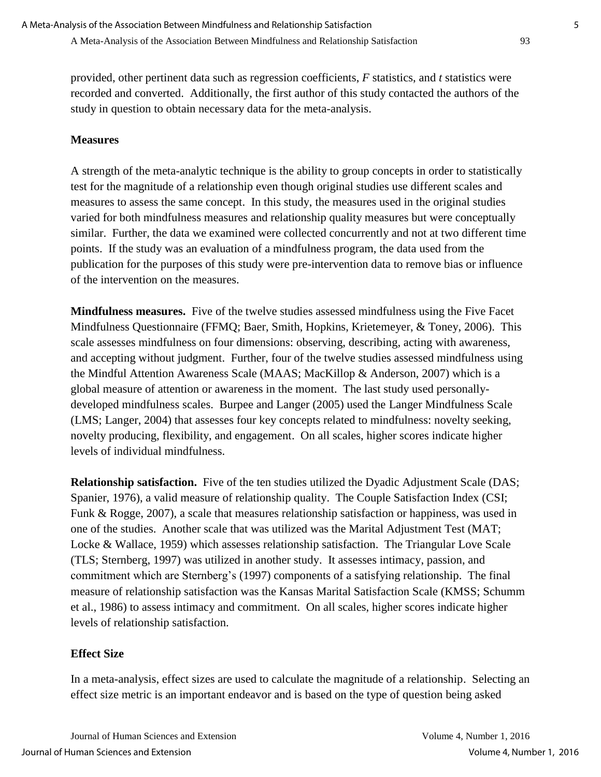provided, other pertinent data such as regression coefficients, *F* statistics, and *t* statistics were recorded and converted. Additionally, the first author of this study contacted the authors of the study in question to obtain necessary data for the meta-analysis.

## **Measures**

A strength of the meta-analytic technique is the ability to group concepts in order to statistically test for the magnitude of a relationship even though original studies use different scales and measures to assess the same concept. In this study, the measures used in the original studies varied for both mindfulness measures and relationship quality measures but were conceptually similar. Further, the data we examined were collected concurrently and not at two different time points. If the study was an evaluation of a mindfulness program, the data used from the publication for the purposes of this study were pre-intervention data to remove bias or influence of the intervention on the measures.

**Mindfulness measures.** Five of the twelve studies assessed mindfulness using the Five Facet Mindfulness Questionnaire (FFMQ; Baer, Smith, Hopkins, Krietemeyer, & Toney, 2006). This scale assesses mindfulness on four dimensions: observing, describing, acting with awareness, and accepting without judgment. Further, four of the twelve studies assessed mindfulness using the Mindful Attention Awareness Scale (MAAS; MacKillop & Anderson, 2007) which is a global measure of attention or awareness in the moment. The last study used personallydeveloped mindfulness scales. Burpee and Langer (2005) used the Langer Mindfulness Scale (LMS; Langer, 2004) that assesses four key concepts related to mindfulness: novelty seeking, novelty producing, flexibility, and engagement. On all scales, higher scores indicate higher levels of individual mindfulness.

**Relationship satisfaction.** Five of the ten studies utilized the Dyadic Adjustment Scale (DAS; Spanier, 1976), a valid measure of relationship quality. The Couple Satisfaction Index (CSI; Funk & Rogge, 2007), a scale that measures relationship satisfaction or happiness, was used in one of the studies. Another scale that was utilized was the Marital Adjustment Test (MAT; Locke & Wallace, 1959) which assesses relationship satisfaction. The Triangular Love Scale (TLS; Sternberg, 1997) was utilized in another study. It assesses intimacy, passion, and commitment which are Sternberg's (1997) components of a satisfying relationship. The final measure of relationship satisfaction was the Kansas Marital Satisfaction Scale (KMSS; Schumm et al., 1986) to assess intimacy and commitment. On all scales, higher scores indicate higher levels of relationship satisfaction.

## **Effect Size**

In a meta-analysis, effect sizes are used to calculate the magnitude of a relationship. Selecting an effect size metric is an important endeavor and is based on the type of question being asked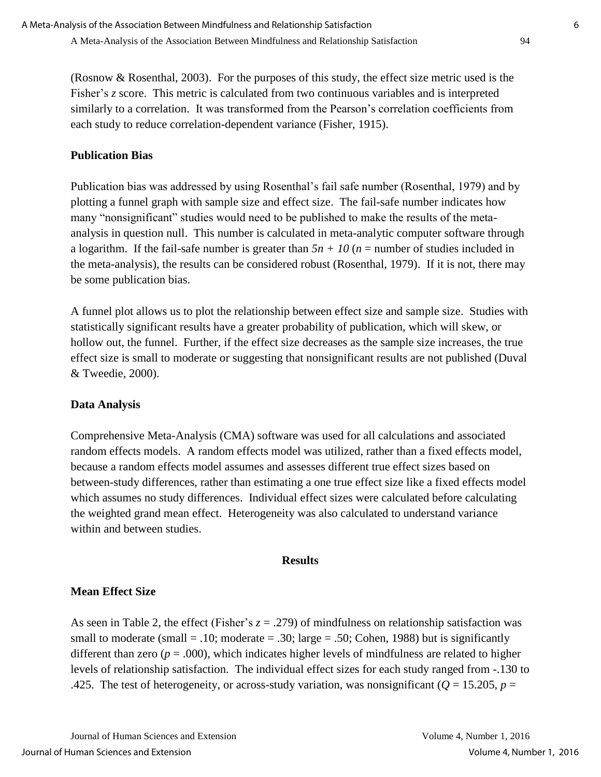(Rosnow & Rosenthal, 2003). For the purposes of this study, the effect size metric used is the Fisher's *z* score. This metric is calculated from two continuous variables and is interpreted similarly to a correlation. It was transformed from the Pearson's correlation coefficients from each study to reduce correlation-dependent variance (Fisher, 1915).

## **Publication Bias**

Publication bias was addressed by using Rosenthal's fail safe number (Rosenthal, 1979) and by plotting a funnel graph with sample size and effect size. The fail-safe number indicates how many "nonsignificant" studies would need to be published to make the results of the metaanalysis in question null. This number is calculated in meta-analytic computer software through a logarithm. If the fail-safe number is greater than  $5n + 10$  ( $n =$  number of studies included in the meta-analysis), the results can be considered robust (Rosenthal, 1979). If it is not, there may be some publication bias.

A funnel plot allows us to plot the relationship between effect size and sample size. Studies with statistically significant results have a greater probability of publication, which will skew, or hollow out, the funnel. Further, if the effect size decreases as the sample size increases, the true effect size is small to moderate or suggesting that nonsignificant results are not published (Duval & Tweedie, 2000).

## **Data Analysis**

Comprehensive Meta-Analysis (CMA) software was used for all calculations and associated random effects models. A random effects model was utilized, rather than a fixed effects model, because a random effects model assumes and assesses different true effect sizes based on between-study differences, rather than estimating a one true effect size like a fixed effects model which assumes no study differences. Individual effect sizes were calculated before calculating the weighted grand mean effect. Heterogeneity was also calculated to understand variance within and between studies.

#### **Results**

## **Mean Effect Size**

As seen in Table 2, the effect (Fisher's  $z = .279$ ) of mindfulness on relationship satisfaction was small to moderate (small  $= .10$ ; moderate  $= .30$ ; large  $= .50$ ; Cohen, 1988) but is significantly different than zero ( $p = .000$ ), which indicates higher levels of mindfulness are related to higher levels of relationship satisfaction. The individual effect sizes for each study ranged from -.130 to .425. The test of heterogeneity, or across-study variation, was nonsignificant ( $Q = 15.205$ ,  $p =$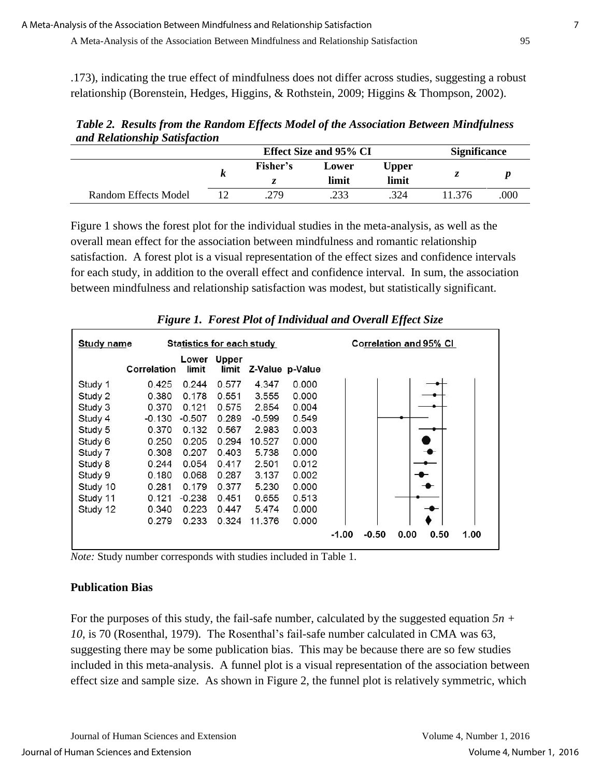.173), indicating the true effect of mindfulness does not differ across studies, suggesting a robust relationship (Borenstein, Hedges, Higgins, & Rothstein, 2009; Higgins & Thompson, 2002).

*Table 2. Results from the Random Effects Model of the Association Between Mindfulness and Relationship Satisfaction*

|                      |          | Effect Size and 95% CI | <b>Significance</b> |       |     |
|----------------------|----------|------------------------|---------------------|-------|-----|
|                      | Fisher's | Lower                  | Upper               | ^     |     |
|                      |          | limit                  | limit               |       |     |
| Random Effects Model | .279     | .233                   | 324                 | 1.376 | 000 |

Figure 1 shows the forest plot for the individual studies in the meta-analysis, as well as the overall mean effect for the association between mindfulness and romantic relationship satisfaction. A forest plot is a visual representation of the effect sizes and confidence intervals for each study, in addition to the overall effect and confidence interval. In sum, the association between mindfulness and relationship satisfaction was modest, but statistically significant.

|                   | o           |                                  |                | v        |                 | IJ                                         |
|-------------------|-------------|----------------------------------|----------------|----------|-----------------|--------------------------------------------|
| <b>Study name</b> |             | <b>Statistics for each study</b> |                |          |                 | <b>Correlation and 95% CI</b>              |
|                   | Correlation | Lower<br>limit                   | Upper<br>limit |          | Z-Value p-Value |                                            |
| Study 1           | 0.425       | 0.244                            | 0.577          | 4.347    | 0.000           |                                            |
| Study 2           | 0.380       | 0.178                            | 0.551          | 3.555    | 0.000           |                                            |
| Study 3           | 0.370       | 0.121                            | 0.575          | 2.854    | 0.004           |                                            |
| Study 4           | $-0.130$    | $-0.507$                         | 0.289          | $-0.599$ | 0.549           |                                            |
| Study 5           | 0.370       | 0.132                            | 0.567          | 2.983    | 0.003           |                                            |
| Study 6           | 0.250       | 0.205                            | 0.294          | 10.527   | 0.000           |                                            |
| Study 7           | 0.308       | 0.207                            | 0.403          | 5.738    | 0.000           |                                            |
| Study 8           | 0.244       | 0.054                            | 0.417          | 2.501    | 0.012           |                                            |
| Study 9           | 0.180       | 0.068                            | 0.287          | 3.137    | 0.002           |                                            |
| Study 10          | 0.281       | 0.179                            | 0.377          | 5.230    | 0.000           |                                            |
| Study 11          | 0.121       | $-0.238$                         | 0.451          | 0.655    | 0.513           |                                            |
| Study 12          | 0.340       | 0.223                            | 0.447          | 5.474    | 0.000           |                                            |
|                   | 0.279       | 0.233                            | 0.324          | 11.376   | 0.000           |                                            |
|                   |             |                                  |                |          |                 | $-1.00$<br>$-0.50$<br>0.00<br>0.50<br>1.00 |

*Figure 1. Forest Plot of Individual and Overall Effect Size* 

*Note:* Study number corresponds with studies included in Table 1.

## **Publication Bias**

For the purposes of this study, the fail-safe number, calculated by the suggested equation *5n + 10*, is 70 (Rosenthal, 1979). The Rosenthal's fail-safe number calculated in CMA was 63, suggesting there may be some publication bias. This may be because there are so few studies included in this meta-analysis. A funnel plot is a visual representation of the association between effect size and sample size. As shown in Figure 2, the funnel plot is relatively symmetric, which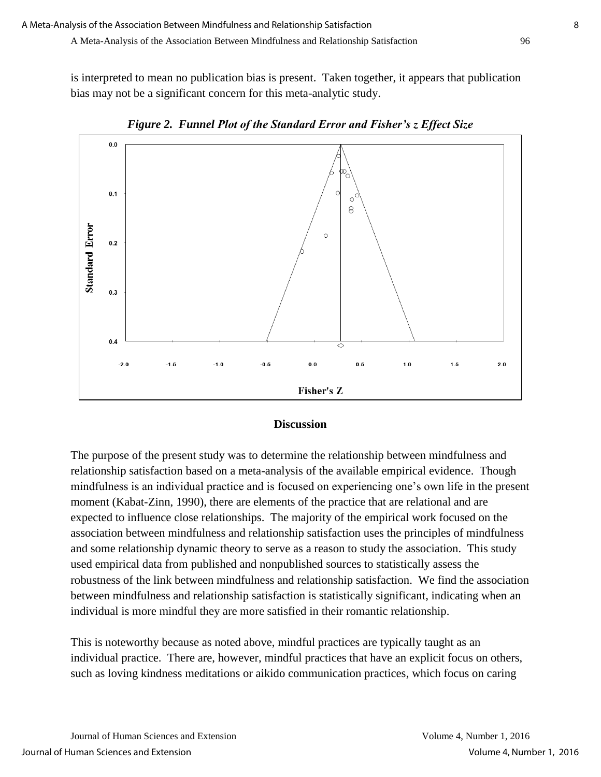is interpreted to mean no publication bias is present. Taken together, it appears that publication bias may not be a significant concern for this meta-analytic study.



*Figure 2. Funnel Plot of the Standard Error and Fisher's z Effect Size*

#### **Discussion**

The purpose of the present study was to determine the relationship between mindfulness and relationship satisfaction based on a meta-analysis of the available empirical evidence. Though mindfulness is an individual practice and is focused on experiencing one's own life in the present moment (Kabat-Zinn, 1990), there are elements of the practice that are relational and are expected to influence close relationships. The majority of the empirical work focused on the association between mindfulness and relationship satisfaction uses the principles of mindfulness and some relationship dynamic theory to serve as a reason to study the association. This study used empirical data from published and nonpublished sources to statistically assess the robustness of the link between mindfulness and relationship satisfaction. We find the association between mindfulness and relationship satisfaction is statistically significant, indicating when an individual is more mindful they are more satisfied in their romantic relationship.

This is noteworthy because as noted above, mindful practices are typically taught as an individual practice. There are, however, mindful practices that have an explicit focus on others, such as loving kindness meditations or aikido communication practices, which focus on caring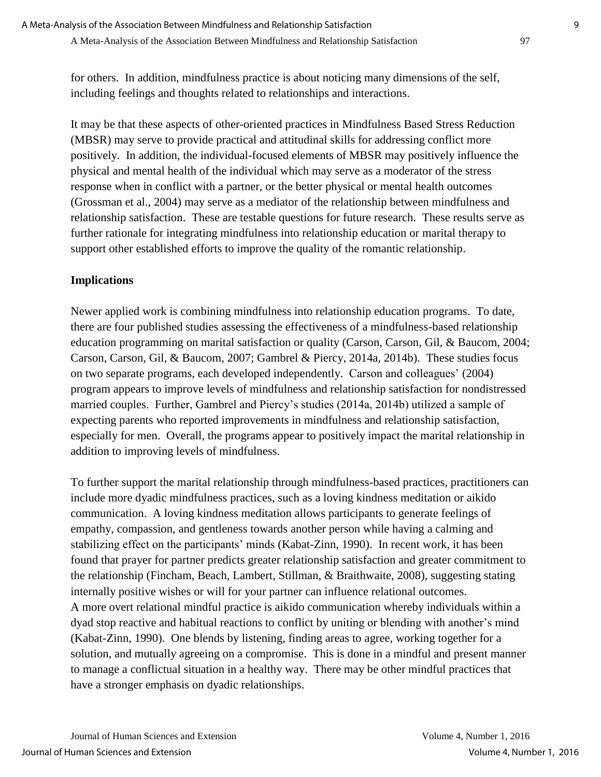for others. In addition, mindfulness practice is about noticing many dimensions of the self, including feelings and thoughts related to relationships and interactions.

It may be that these aspects of other-oriented practices in Mindfulness Based Stress Reduction (MBSR) may serve to provide practical and attitudinal skills for addressing conflict more positively. In addition, the individual-focused elements of MBSR may positively influence the physical and mental health of the individual which may serve as a moderator of the stress response when in conflict with a partner, or the better physical or mental health outcomes (Grossman et al., 2004) may serve as a mediator of the relationship between mindfulness and relationship satisfaction. These are testable questions for future research. These results serve as further rationale for integrating mindfulness into relationship education or marital therapy to support other established efforts to improve the quality of the romantic relationship.

## **Implications**

Newer applied work is combining mindfulness into relationship education programs. To date, there are four published studies assessing the effectiveness of a mindfulness-based relationship education programming on marital satisfaction or quality (Carson, Carson, Gil, & Baucom, 2004; Carson, Carson, Gil, & Baucom, 2007; Gambrel & Piercy, 2014a, 2014b). These studies focus on two separate programs, each developed independently. Carson and colleagues' (2004) program appears to improve levels of mindfulness and relationship satisfaction for nondistressed married couples. Further, Gambrel and Piercy's studies (2014a, 2014b) utilized a sample of expecting parents who reported improvements in mindfulness and relationship satisfaction, especially for men. Overall, the programs appear to positively impact the marital relationship in addition to improving levels of mindfulness.

To further support the marital relationship through mindfulness-based practices, practitioners can include more dyadic mindfulness practices, such as a loving kindness meditation or aikido communication. A loving kindness meditation allows participants to generate feelings of empathy, compassion, and gentleness towards another person while having a calming and stabilizing effect on the participants' minds (Kabat-Zinn, 1990). In recent work, it has been found that prayer for partner predicts greater relationship satisfaction and greater commitment to the relationship (Fincham, Beach, Lambert, Stillman, & Braithwaite, 2008), suggesting stating internally positive wishes or will for your partner can influence relational outcomes. A more overt relational mindful practice is aikido communication whereby individuals within a dyad stop reactive and habitual reactions to conflict by uniting or blending with another's mind (Kabat-Zinn, 1990). One blends by listening, finding areas to agree, working together for a solution, and mutually agreeing on a compromise. This is done in a mindful and present manner to manage a conflictual situation in a healthy way. There may be other mindful practices that have a stronger emphasis on dyadic relationships.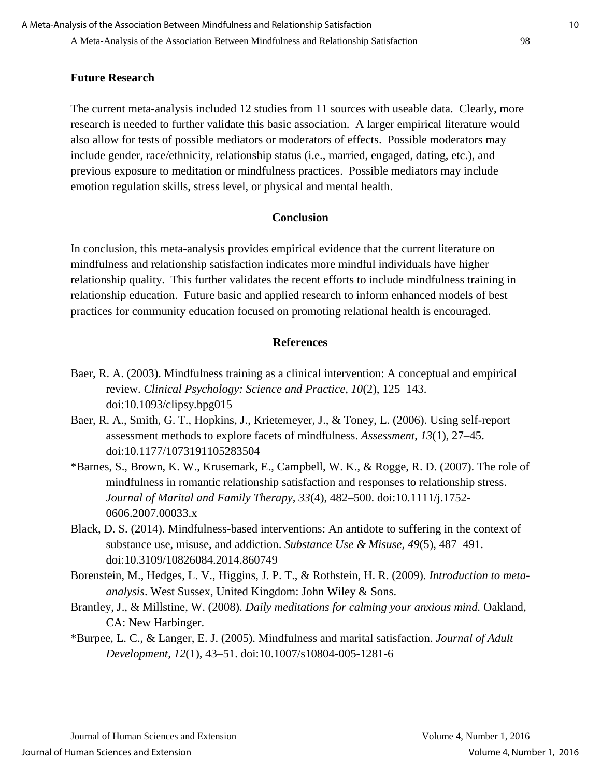#### **Future Research**

The current meta-analysis included 12 studies from 11 sources with useable data. Clearly, more research is needed to further validate this basic association. A larger empirical literature would also allow for tests of possible mediators or moderators of effects. Possible moderators may include gender, race/ethnicity, relationship status (i.e., married, engaged, dating, etc.), and previous exposure to meditation or mindfulness practices. Possible mediators may include emotion regulation skills, stress level, or physical and mental health.

#### **Conclusion**

In conclusion, this meta-analysis provides empirical evidence that the current literature on mindfulness and relationship satisfaction indicates more mindful individuals have higher relationship quality. This further validates the recent efforts to include mindfulness training in relationship education. Future basic and applied research to inform enhanced models of best practices for community education focused on promoting relational health is encouraged.

#### **References**

- Baer, R. A. (2003). Mindfulness training as a clinical intervention: A conceptual and empirical review. *Clinical Psychology: Science and Practice, 10*(2), 125–143. doi:10.1093/clipsy.bpg015
- Baer, R. A., Smith, G. T., Hopkins, J., Krietemeyer, J., & Toney, L. (2006). Using self-report assessment methods to explore facets of mindfulness. *Assessment*, *13*(1), 27–45. doi:10.1177/1073191105283504
- \*Barnes, S., Brown, K. W., Krusemark, E., Campbell, W. K., & Rogge, R. D. (2007). The role of mindfulness in romantic relationship satisfaction and responses to relationship stress. *Journal of Marital and Family Therapy, 33*(4), 482–500. doi:10.1111/j.1752- 0606.2007.00033.x
- Black, D. S. (2014). Mindfulness-based interventions: An antidote to suffering in the context of substance use, misuse, and addiction. *Substance Use & Misuse, 49*(5), 487–491. doi:10.3109/10826084.2014.860749
- Borenstein, M., Hedges, L. V., Higgins, J. P. T., & Rothstein, H. R. (2009). *Introduction to metaanalysis*. West Sussex, United Kingdom: John Wiley & Sons.
- Brantley, J., & Millstine, W. (2008). *Daily meditations for calming your anxious mind.* Oakland, CA: New Harbinger.
- \*Burpee, L. C., & Langer, E. J. (2005). Mindfulness and marital satisfaction. *Journal of Adult Development, 12*(1), 43–51. doi:10.1007/s10804-005-1281-6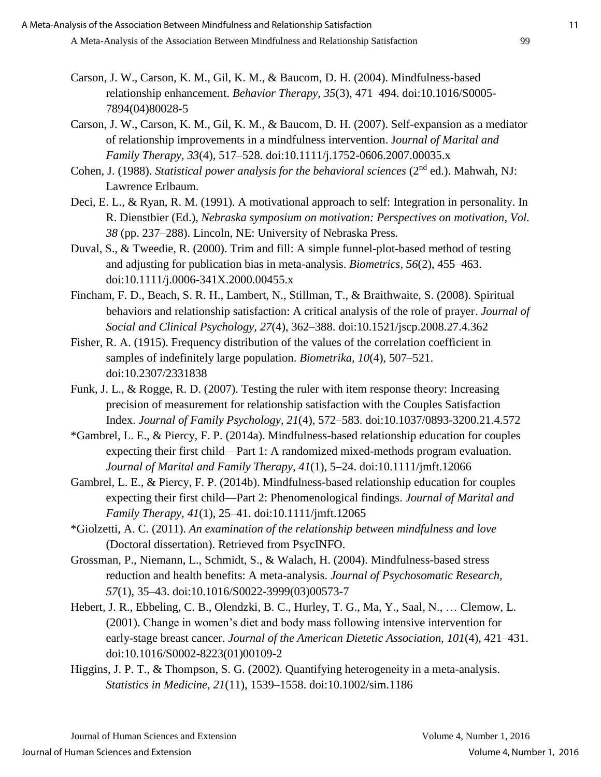- Carson, J. W., Carson, K. M., Gil, K. M., & Baucom, D. H. (2004). Mindfulness-based relationship enhancement. *Behavior Therapy, 35*(3), 471–494. [doi:10.1016/S0005-](http://dx.doi.org/10.1016/S0005-7894(04)80028-5) [7894\(04\)80028-5](http://dx.doi.org/10.1016/S0005-7894(04)80028-5)
- Carson, J. W., Carson, K. M., Gil, K. M., & Baucom, D. H. (2007). Self-expansion as a mediator of relationship improvements in a mindfulness intervention. J*ournal of Marital and Family Therapy, 33*(4), 517–528. doi:10.1111/j.1752-0606.2007.00035.x
- Cohen, J. (1988). *Statistical power analysis for the behavioral sciences* (2<sup>nd</sup> ed.). Mahwah, NJ: Lawrence Erlbaum.
- Deci, E. L., & Ryan, R. M. (1991). A motivational approach to self: Integration in personality. In R. Dienstbier (Ed.), *Nebraska symposium on motivation: Perspectives on motivation, Vol. 38* (pp. 237–288). Lincoln, NE: University of Nebraska Press.
- Duval, S., & Tweedie, R. (2000). Trim and fill: A simple funnel-plot-based method of testing and adjusting for publication bias in meta-analysis. *Biometrics, 56*(2), 455–463. doi:10.1111/j.0006-341X.2000.00455.x
- Fincham, F. D., Beach, S. R. H., Lambert, N., Stillman, T., & Braithwaite, S. (2008). Spiritual behaviors and relationship satisfaction: A critical analysis of the role of prayer. *Journal of Social and Clinical Psychology, 27*(4), 362–388. doi:10.1521/jscp.2008.27.4.362
- Fisher, R. A. (1915). Frequency distribution of the values of the correlation coefficient in samples of indefinitely large population. *Biometrika, 10*(4), 507–521. doi:10.2307/2331838
- Funk, J. L., & Rogge, R. D. (2007). Testing the ruler with item response theory: Increasing precision of measurement for relationship satisfaction with the Couples Satisfaction Index. *Journal of Family Psychology, 21*(4), 572–583. doi:10.1037/0893-3200.21.4.572
- \*Gambrel, L. E., & Piercy, F. P. (2014a). Mindfulness-based relationship education for couples expecting their first child—Part 1: A randomized mixed-methods program evaluation. *Journal of Marital and Family Therapy, 41*(1), 5–24. doi:10.1111/jmft.12066
- Gambrel, L. E., & Piercy, F. P. (2014b). Mindfulness-based relationship education for couples expecting their first child—Part 2: Phenomenological findings. *Journal of Marital and Family Therapy, 41*(1), 25–41. doi:10.1111/jmft.12065
- \*Giolzetti, A. C. (2011). *An examination of the relationship between mindfulness and love* (Doctoral dissertation). Retrieved from PsycINFO.
- Grossman, P., Niemann, L., Schmidt, S., & Walach, H. (2004). Mindfulness-based stress reduction and health benefits: A meta-analysis. *Journal of Psychosomatic Research, 57*(1), 35–43. [doi:10.1016/S0022-3999\(03\)00573-7](http://dx.doi.org/10.1016/S0022-3999(03)00573-7)
- Hebert, J. R., Ebbeling, C. B., Olendzki, B. C., Hurley, T. G., Ma, Y., Saal, N., … Clemow, L. (2001). Change in women's diet and body mass following intensive intervention for early-stage breast cancer. *Journal of the American Dietetic Association, 101*(4), 421–431. [doi:10.1016/S0002-8223\(01\)00109-2](http://dx.doi.org/10.1016/S0002-8223(01)00109-2)
- Higgins, J. P. T., & Thompson, S. G. (2002). Quantifying heterogeneity in a meta-analysis. *Statistics in Medicine, 21*(11), 1539–1558. doi:10.1002/sim.1186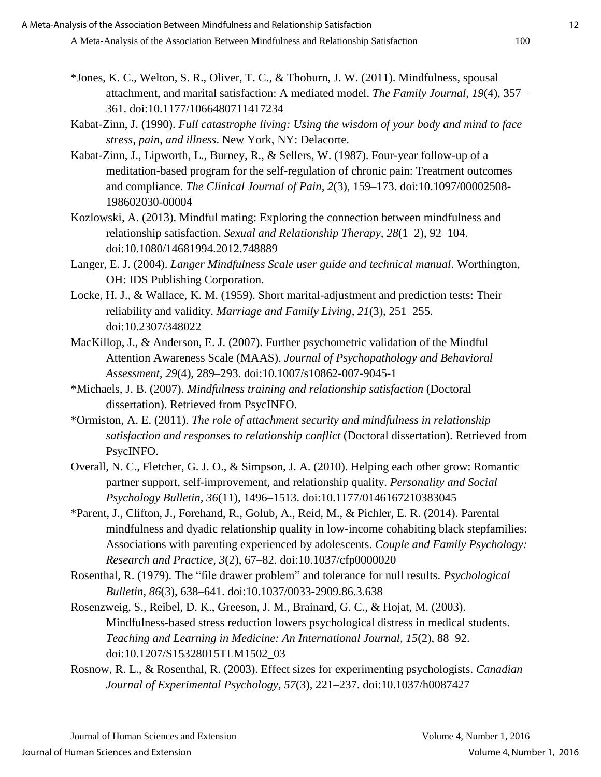- \*Jones, K. C., Welton, S. R., Oliver, T. C., & Thoburn, J. W. (2011). Mindfulness, spousal attachment, and marital satisfaction: A mediated model. *The Family Journal, 19*(4), 357– 361. doi:10.1177/1066480711417234
- Kabat-Zinn, J. (1990). *Full catastrophe living: Using the wisdom of your body and mind to face stress, pain, and illness*. New York, NY: Delacorte.
- Kabat-Zinn, J., Lipworth, L., Burney, R., & Sellers, W. (1987). Four-year follow-up of a meditation-based program for the self-regulation of chronic pain: Treatment outcomes and compliance. *The Clinical Journal of Pain, 2*(3), 159–173. doi:10.1097/00002508- 198602030-00004
- Kozlowski, A. (2013). Mindful mating: Exploring the connection between mindfulness and relationship satisfaction. *Sexual and Relationship Therapy, 28*(1–2), 92–104. doi:10.1080/14681994.2012.748889
- Langer, E. J. (2004). *Langer Mindfulness Scale user guide and technical manual*. Worthington, OH: IDS Publishing Corporation.
- Locke, H. J., & Wallace, K. M. (1959). Short marital-adjustment and prediction tests: Their reliability and validity. *Marriage and Family Living*, *21*(3), 251–255. doi:10.2307/348022
- MacKillop, J., & Anderson, E. J. (2007). Further psychometric validation of the Mindful Attention Awareness Scale (MAAS). *Journal of Psychopathology and Behavioral Assessment, 29*(4), 289–293. doi:10.1007/s10862-007-9045-1
- \*Michaels, J. B. (2007). *Mindfulness training and relationship satisfaction* (Doctoral dissertation). Retrieved from PsycINFO.
- \*Ormiston, A. E. (2011). *The role of attachment security and mindfulness in relationship satisfaction and responses to relationship conflict* (Doctoral dissertation). Retrieved from PsycINFO.
- Overall, N. C., Fletcher, G. J. O., & Simpson, J. A. (2010). Helping each other grow: Romantic partner support, self-improvement, and relationship quality. *Personality and Social Psychology Bulletin, 36*(11), 1496–1513. doi:10.1177/0146167210383045
- \*Parent, J., Clifton, J., Forehand, R., Golub, A., Reid, M., & Pichler, E. R. (2014). Parental mindfulness and dyadic relationship quality in low-income cohabiting black stepfamilies: Associations with parenting experienced by adolescents. *Couple and Family Psychology: Research and Practice, 3*(2), 67–82. doi:10.1037/cfp0000020
- Rosenthal, R. (1979). The "file drawer problem" and tolerance for null results. *Psychological Bulletin, 86*(3), 638–641. doi:10.1037/0033-2909.86.3.638
- Rosenzweig, S., Reibel, D. K., Greeson, J. M., Brainard, G. C., & Hojat, M. (2003). Mindfulness-based stress reduction lowers psychological distress in medical students. *Teaching and Learning in Medicine: An International Journal, 15*(2), 88–92. doi:10.1207/S15328015TLM1502\_03
- Rosnow, R. L., & Rosenthal, R. (2003). Effect sizes for experimenting psychologists. *Canadian Journal of Experimental Psychology, 57*(3), 221–237. doi:10.1037/h0087427